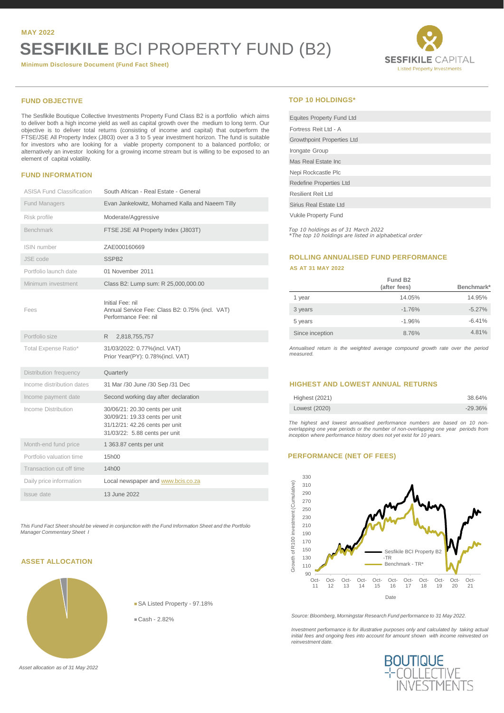# **SESFIKILE** BCI PROPERTY FUND (B2)

**Minimum Disclosure Document (Fund Fact Sheet)**



## **FUND OBJECTIVE**

The Sesfikile Boutique Collective Investments Property Fund Class B2 is a portfolio which aims to deliver both a high income yield as well as capital growth over the medium to long term. Our objective is to deliver total returns (consisting of income and capital) that outperform the FTSE/JSE All Property Index (J803) over a 3 to 5 year investment horizon. The fund is suitable for investors who are looking for a viable property component to a balanced portfolio; or alternatively an investor looking for a growing income stream but is willing to be exposed to an element of capital volatility.

## **FUND INFORMATION**

| <b>ASISA Fund Classification</b> | South African - Real Estate - General                                                                                               |
|----------------------------------|-------------------------------------------------------------------------------------------------------------------------------------|
| <b>Fund Managers</b>             | Evan Jankelowitz, Mohamed Kalla and Naeem Tilly                                                                                     |
| Risk profile                     | Moderate/Aggressive                                                                                                                 |
| <b>Benchmark</b>                 | FTSE JSE All Property Index (J803T)                                                                                                 |
| ISIN number                      | ZAE000160669                                                                                                                        |
| JSE code                         | SSPB <sub>2</sub>                                                                                                                   |
| Portfolio launch date            | 01 November 2011                                                                                                                    |
| Minimum investment               | Class B2: Lump sum: R 25,000,000.00                                                                                                 |
| Fees                             | Initial Fee: nil<br>Annual Service Fee: Class B2: 0.75% (incl. VAT)<br>Performance Fee: nil                                         |
| Portfolio size                   | R.<br>2,818,755,757                                                                                                                 |
| Total Expense Ratio*             | 31/03/2022: 0.77%(incl. VAT)<br>Prior Year(PY): 0.78%(incl. VAT)                                                                    |
| Distribution frequency           | Quarterly                                                                                                                           |
| Income distribution dates        | 31 Mar /30 June /30 Sep /31 Dec                                                                                                     |
| Income payment date              | Second working day after declaration                                                                                                |
| Income Distribution              | 30/06/21: 20.30 cents per unit<br>30/09/21: 19.33 cents per unit<br>31/12/21: 42.26 cents per unit<br>31/03/22: 5.88 cents per unit |
| Month-end fund price             | 1 363.87 cents per unit                                                                                                             |
| Portfolio valuation time         | 15h00                                                                                                                               |
| Transaction cut off time         | 14h00                                                                                                                               |
| Daily price information          | Local newspaper and www.bcis.co.za                                                                                                  |
| Issue date                       | 13 June 2022                                                                                                                        |

*This Fund Fact Sheet should be viewed in conjunction with the Fund Information Sheet and the Portfolio Manager Commentary Sheet I*

## **ASSET ALLOCATION**



SA Listed Property - 97.18%

Cash - 2.82%

#### **TOP 10 HOLDINGS\***

| <b>Equites Property Fund Ltd</b>  |
|-----------------------------------|
| Fortress Reit Ltd - A             |
| <b>Growthpoint Properties Ltd</b> |
| Irongate Group                    |
| Mas Real Estate Inc.              |
| Nepi Rockcastle Plc               |
| Redefine Properties Ltd           |
| <b>Resilient Reit Ltd</b>         |
| Sirius Real Estate Ltd            |
| <b>Vukile Property Fund</b>       |
|                                   |

*Top 10 holdings as of 31 March 2022 \*The top 10 holdings are listed in alphabetical order*

## **ROLLING ANNUALISED FUND PERFORMANCE AS AT 31 MAY 2022**

|                 | Fund B <sub>2</sub><br>(after fees) | Benchmark* |
|-----------------|-------------------------------------|------------|
| 1 year          | 14.05%                              | 14.95%     |
| 3 years         | $-1.76%$                            | $-5.27%$   |
| 5 years         | $-1.96%$                            | $-6.41%$   |
| Since inception | 8.76%                               | 4.81%      |

*Annualised return is the weighted average compound growth rate over the period measured.*

## **HIGHEST AND LOWEST ANNUAL RETURNS**

| <b>Highest (2021)</b> | 38.64%     |
|-----------------------|------------|
| Lowest (2020)         | $-29.36\%$ |

*The highest and lowest annualised performance numbers are based on 10 non*overlapping one year periods or the number of non-overlapping one year periods from<br>inception where performance history does not yet exist for 10 years.

## **PERFORMANCE (NET OF FEES)**



*Source: Bloomberg, Morningstar Research Fund performance to 31 May 2022.*

*Investment performance is for illustrative purposes only and calculated by taking actual initial fees and ongoing fees into account for amount shown with income reinvested on reinvestment date.*



*Asset allocation as of 31 May 2022*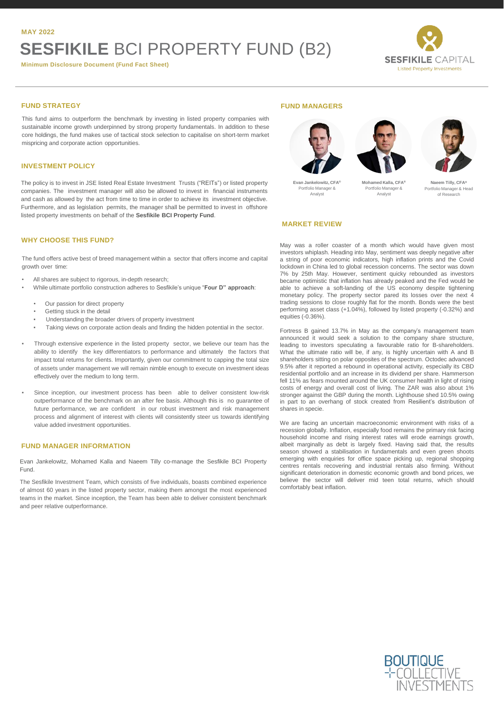#### **MAY 2022**

## **SESFIKILE** BCI PROPERTY FUND (B2)

**Minimum Disclosure Document (Fund Fact Sheet)**



## **FUND STRATEGY**

This fund aims to outperform the benchmark by investing in listed property companies with sustainable income growth underpinned by strong property fundamentals. In addition to these core holdings, the fund makes use of tactical stock selection to capitalise on short-term market mispricing and corporate action opportunities.

## **INVESTMENT POLICY**

The policy is to invest in JSE listed Real Estate Investment Trusts ("REITs") or listed property companies. The investment manager will also be allowed to invest in financial instruments and cash as allowed by the act from time to time in order to achieve its investment objective. Furthermore, and as legislation permits, the manager shall be permitted to invest in offshore listed property investments on behalf of the **Sesfikile BCI Property Fund**.

## **WHY CHOOSE THIS FUND?**

The fund offers active best of breed management within a sector that offers income and capital growth over time:

- All shares are subject to rigorous, in-depth research;
- While ultimate portfolio construction adheres to Sesfikile's unique "**Four D" approach**:
	- Our passion for direct property
	- Getting stuck in the detail
	- Understanding the broader drivers of property investment
	- Taking views on corporate action deals and finding the hidden potential in the sector.
- Through extensive experience in the listed property sector, we believe our team has the ability to identify the key differentiators to performance and ultimately the factors that impact total returns for clients. Importantly, given our commitment to capping the total size of assets under management we will remain nimble enough to execute on investment ideas effectively over the medium to long term.
- Since inception, our investment process has been able to deliver consistent low-risk outperformance of the benchmark on an after fee basis. Although this is no guarantee of future performance, we are confident in our robust investment and risk management process and alignment of interest with clients will consistently steer us towards identifying value added investment opportunities.

#### **FUND MANAGER INFORMATION**

Evan Jankelowitz, Mohamed Kalla and Naeem Tilly co-manage the Sesfikile BCI Property Fund.

The Sesfikile Investment Team, which consists of five individuals, boasts combined experience of almost 60 years in the listed property sector, making them amongst the most experienced teams in the market. Since inception, the Team has been able to deliver consistent benchmark and peer relative outperformance.

#### **FUND MANAGERS**







**Evan Jankelowitz, CFA®** Portfolio Manager & Analyst

**Mohamed Kalla, CFA®** Portfolio Manager & Analyst

**Naeem Tilly, CFA®** Portfolio Manager & Head of Research

#### **MARKET REVIEW**

May was a roller coaster of a month which would have given most investors whiplash. Heading into May, sentiment was deeply negative after a string of poor economic indicators, high inflation prints and the Covid lockdown in China led to global recession concerns. The sector was down 7% by 25th May. However, sentiment quicky rebounded as investors became optimistic that inflation has already peaked and the Fed would be able to achieve a soft-landing of the US economy despite tightening monetary policy. The property sector pared its losses over the next 4 trading sessions to close roughly flat for the month. Bonds were the best performing asset class (+1.04%), followed by listed property (-0.32%) and equities (-0.36%).

Fortress B gained 13.7% in May as the company's management team announced it would seek a solution to the company share structure, leading to investors speculating a favourable ratio for B-shareholders. What the ultimate ratio will be, if any, is highly uncertain with A and B shareholders sitting on polar opposites of the spectrum. Octodec advanced 9.5% after it reported a rebound in operational activity, especially its CBD residential portfolio and an increase in its dividend per share. Hammerson fell 11% as fears mounted around the UK consumer health in light of rising costs of energy and overall cost of living. The ZAR was also about 1% stronger against the GBP during the month. Lighthouse shed 10.5% owing in part to an overhang of stock created from Resilient's distribution of shares in specie.

We are facing an uncertain macroeconomic environment with risks of a recession globally. Inflation, especially food remains the primary risk facing household income and rising interest rates will erode earnings growth, albeit marginally as debt is largely fixed. Having said that, the results season showed a stabilisation in fundamentals and even green shoots emerging with enquiries for office space picking up, regional shopping centres rentals recovering and industrial rentals also firming. Without significant deterioration in domestic economic growth and bond prices, we believe the sector will deliver mid teen total returns, which should comfortably beat inflation.